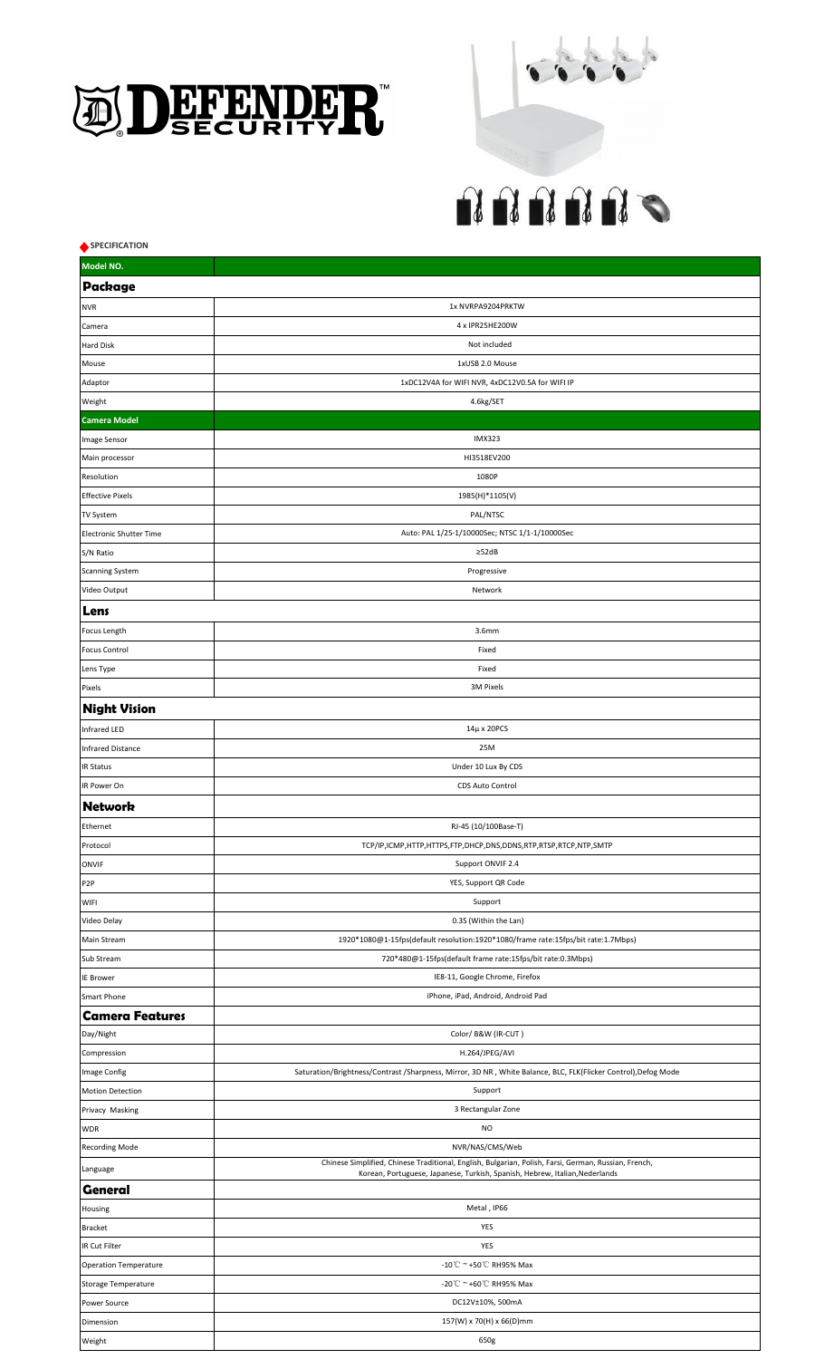



| SPECIFICATION                  |                                                                                                               |  |
|--------------------------------|---------------------------------------------------------------------------------------------------------------|--|
| Model NO.                      |                                                                                                               |  |
| Package                        |                                                                                                               |  |
| <b>NVR</b>                     | 1x NVRPA9204PRKTW                                                                                             |  |
| Camera                         | 4 x IPR25HE200W                                                                                               |  |
| <b>Hard Disk</b>               | Not included                                                                                                  |  |
| Mouse                          | 1xUSB 2.0 Mouse                                                                                               |  |
| Adaptor                        | 1xDC12V4A for WIFI NVR, 4xDC12V0.5A for WIFI IP                                                               |  |
| Weight                         | 4.6kg/SET                                                                                                     |  |
| <b>Camera Model</b>            |                                                                                                               |  |
| Image Sensor                   | <b>IMX323</b>                                                                                                 |  |
| Main processor                 | HI3518EV200                                                                                                   |  |
| Resolution                     | 1080P                                                                                                         |  |
| <b>Effective Pixels</b>        | 1985(H)*1105(V)                                                                                               |  |
| <b>TV System</b>               | PAL/NTSC                                                                                                      |  |
| <b>Electronic Shutter Time</b> | Auto: PAL 1/25-1/10000Sec; NTSC 1/1-1/10000Sec                                                                |  |
| S/N Ratio                      | $\geq$ 52dB                                                                                                   |  |
| <b>Scanning System</b>         | Progressive                                                                                                   |  |
| Video Output                   | Network                                                                                                       |  |
| Lens                           |                                                                                                               |  |
| Focus Length                   | 3.6mm                                                                                                         |  |
| <b>Focus Control</b>           | Fixed                                                                                                         |  |
| Lens Type                      | Fixed                                                                                                         |  |
| Pixels                         | 3M Pixels                                                                                                     |  |
| <b>Night Vision</b>            |                                                                                                               |  |
| Infrared LED                   | 14μ x 20PCS                                                                                                   |  |
| Infrared Distance              | 25M                                                                                                           |  |
| <b>IR Status</b>               | Under 10 Lux By CDS                                                                                           |  |
| IR Power On                    | CDS Auto Control                                                                                              |  |
|                                |                                                                                                               |  |
| <b>Network</b>                 |                                                                                                               |  |
| Ethernet                       | RJ-45 (10/100Base-T)                                                                                          |  |
| Protocol                       | TCP/IP,ICMP,HTTP,HTTPS,FTP,DHCP,DNS,DDNS,RTP,RTSP,RTCP,NTP,SMTP                                               |  |
| <b>ONVIF</b>                   | Support ONVIF 2.4                                                                                             |  |
| P <sub>2P</sub>                | YES, Support QR Code                                                                                          |  |
| <b>WIFI</b>                    | Support                                                                                                       |  |
| Video Delay                    | 0.3S (Within the Lan)                                                                                         |  |
| <b>Main Stream</b>             | 1920*1080@1-15fps(default resolution:1920*1080/frame rate:15fps/bit rate:1.7Mbps)                             |  |
| Sub Stream                     | 720*480@1-15fps(default frame rate:15fps/bit rate:0.3Mbps)<br>IE8-11, Google Chrome, Firefox                  |  |
| <b>IE Brower</b>               |                                                                                                               |  |
| Smart Phone                    | iPhone, iPad, Android, Android Pad                                                                            |  |
| <b>Camera Features</b>         | Color/B&W (IR-CUT)                                                                                            |  |
| Day/Night                      | H.264/JPEG/AVI                                                                                                |  |
| Compression                    | Saturation/Brightness/Contrast/Sharpness, Mirror, 3D NR, White Balance, BLC, FLK(Flicker Control), Defog Mode |  |
| Image Config                   |                                                                                                               |  |
| <b>Motion Detection</b>        | Support<br>3 Rectangular Zone                                                                                 |  |
| Privacy Masking<br><b>WDR</b>  | <b>NO</b>                                                                                                     |  |
|                                | NVR/NAS/CMS/Web                                                                                               |  |
| <b>Recording Mode</b>          | Chinese Simplified, Chinese Traditional, English, Bulgarian, Polish, Farsi, German, Russian, French,          |  |
| Language                       | Korean, Portuguese, Japanese, Turkish, Spanish, Hebrew, Italian, Nederlands                                   |  |
| <b>General</b>                 |                                                                                                               |  |
| Housing                        | Metal, IP66                                                                                                   |  |
| <b>Bracket</b>                 | YES                                                                                                           |  |
| IR Cut Filter                  | YES                                                                                                           |  |
| <b>Operation Temperature</b>   | -10℃ ~ +50℃ RH95% Max                                                                                         |  |
| Storage Temperature            | -20℃ ~ +60℃ RH95% Max                                                                                         |  |
| Power Source                   | DC12V±10%, 500mA                                                                                              |  |
| Dimension                      | 157(W) x 70(H) x 66(D)mm                                                                                      |  |
| Weight                         | 650g                                                                                                          |  |